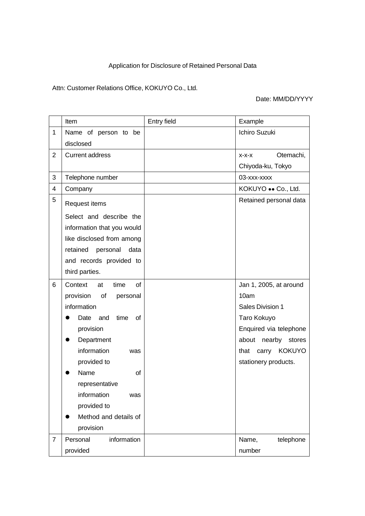# Application for Disclosure of Retained Personal Data

## Attn: Customer Relations Office, KOKUYO Co., Ltd.

## Date: MM/DD/YYYY

|                | Item                         | Entry field | Example                |
|----------------|------------------------------|-------------|------------------------|
| $\mathbf{1}$   | Name of person to be         |             | Ichiro Suzuki          |
|                | disclosed                    |             |                        |
| $\overline{2}$ | <b>Current address</b>       |             | Otemachi,<br>$X-X-X$   |
|                |                              |             | Chiyoda-ku, Tokyo      |
| 3              | Telephone number             |             | 03-xxx-xxxx            |
| 4              | Company                      |             | KOKUYO •• Co., Ltd.    |
| 5              | Request items                |             | Retained personal data |
|                | Select and describe the      |             |                        |
|                | information that you would   |             |                        |
|                | like disclosed from among    |             |                        |
|                | retained<br>personal<br>data |             |                        |
|                | and records provided to      |             |                        |
|                | third parties.               |             |                        |
| 6              | Context<br>time<br>0f<br>at  |             | Jan 1, 2005, at around |
|                | provision<br>of<br>personal  |             | 10am                   |
|                | information                  |             | Sales Division 1       |
|                | time<br>of<br>Date<br>and    |             | Taro Kokuyo            |
|                | provision                    |             | Enquired via telephone |
|                | Department                   |             | about nearby stores    |
|                | information<br>was           |             | that carry KOKUYO      |
|                | provided to                  |             | stationery products.   |
|                | Name<br>οf                   |             |                        |
|                | representative               |             |                        |
|                | information<br>was           |             |                        |
|                | provided to                  |             |                        |
|                | Method and details of        |             |                        |
|                | provision                    |             |                        |
| $\overline{7}$ | Personal<br>information      |             | telephone<br>Name,     |
|                | provided                     |             | number                 |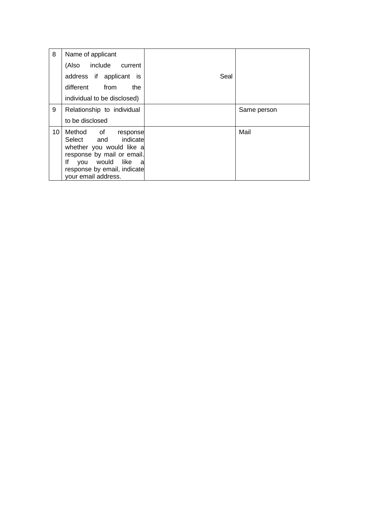| 8  | Name of applicant                                                                                                                                                                         |      |             |
|----|-------------------------------------------------------------------------------------------------------------------------------------------------------------------------------------------|------|-------------|
|    | (Also include current                                                                                                                                                                     |      |             |
|    | address if applicant is                                                                                                                                                                   | Seal |             |
|    | different from<br>the                                                                                                                                                                     |      |             |
|    | individual to be disclosed)                                                                                                                                                               |      |             |
| 9  | Relationship to individual                                                                                                                                                                |      | Same person |
|    | to be disclosed                                                                                                                                                                           |      |             |
| 10 | Method of<br>response<br>Select and indicate<br>whether you would like a<br>response by mail or email.<br>lf<br>you would like<br>a<br>response by email, indicate<br>your email address. |      | Mail        |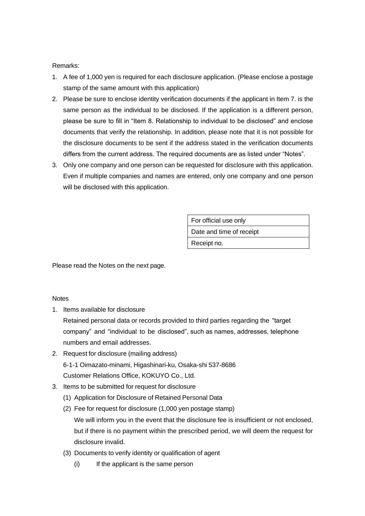### Remarks:

- 1. A fee of 1,000 yen is required for each disclosure application. (Please enclose a postage stamp of the same amount with this application)
- 2. Please be sure to enclose identity verification documents if the applicant in Item 7. is the same person as the individual to be disclosed. If the application is a different person, please be sure to fill in "Item 8. Relationship to individual to be disclosed" and enclose documents that verify the relationship. In addition, please note that it is not possible for the disclosure documents to be sent if the address stated in the verification documents differs from the current address. The required documents are as listed under "Notes".
- 3. Only one company and one person can be requested for disclosure with this application. Even if multiple companies and names are entered, only one company and one person will be disclosed with this application.

For official use only Date and time of receipt Receipt no.

Please read the Notes on the next page.

#### **Notes**

1. Items available for disclosure

Retained personal data or records provided to third parties regarding the "target company" and "individual to be disclosed", such as names, addresses, telephone numbers and email addresses.

- 2. Request for disclosure (mailing address) 6-1-1 Oimazato-minami, Higashinari-ku, Osaka-shi 537-8686 Customer Relations Office, KOKUYO Co., Ltd.
- 3. Items to be submitted for request for disclosure
	- (1) Application for Disclosure of Retained Personal Data
	- (2) Fee for request for disclosure (1,000 yen postage stamp) We will inform you in the event that the disclosure fee is insufficient or not enclosed, but if there is no payment within the prescribed period, we will deem the request for disclosure invalid.
	- (3) Documents to verify identity or qualification of agent
		- (i) If the applicant is the same person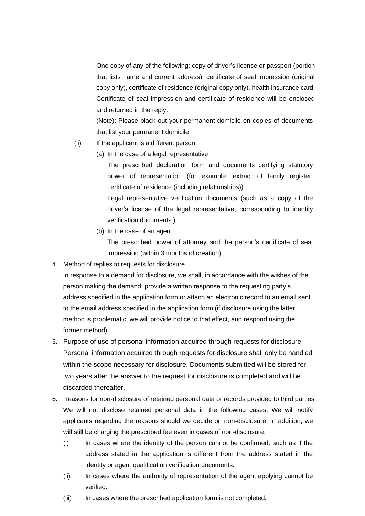One copy of any of the following: copy of driver's license or passport (portion that lists name and current address), certificate of seal impression (original copy only), certificate of residence (original copy only), health insurance card. Certificate of seal impression and certificate of residence will be enclosed and returned in the reply.

(Note): Please black out your permanent domicile on copies of documents that list your permanent domicile.

- (ii) If the applicant is a different person
	- (a) In the case of a legal representative

The prescribed declaration form and documents certifying statutory power of representation (for example: extract of family register, certificate of residence (including relationships)).

Legal representative verification documents (such as a copy of the driver's license of the legal representative, corresponding to identity verification documents.)

(b) In the case of an agent

The prescribed power of attorney and the person's certificate of seal impression (within 3 months of creation).

4. Method of replies to requests for disclosure

In response to a demand for disclosure, we shall, in accordance with the wishes of the person making the demand, provide a written response to the requesting party's address specified in the application form or attach an electronic record to an email sent to the email address specified in the application form (if disclosure using the latter method is problematic, we will provide notice to that effect, and respond using the former method).

- 5. Purpose of use of personal information acquired through requests for disclosure Personal information acquired through requests for disclosure shall only be handled within the scope necessary for disclosure. Documents submitted will be stored for two years after the answer to the request for disclosure is completed and will be discarded thereafter.
- 6. Reasons for non-disclosure of retained personal data or records provided to third parties We will not disclose retained personal data in the following cases. We will notify applicants regarding the reasons should we decide on non-disclosure. In addition, we will still be charging the prescribed fee even in cases of non-disclosure.
	- (i) In cases where the identity of the person cannot be confirmed, such as if the address stated in the application is different from the address stated in the identity or agent qualification verification documents.
	- (ii) In cases where the authority of representation of the agent applying cannot be verified.
	- (iii) In cases where the prescribed application form is not completed.